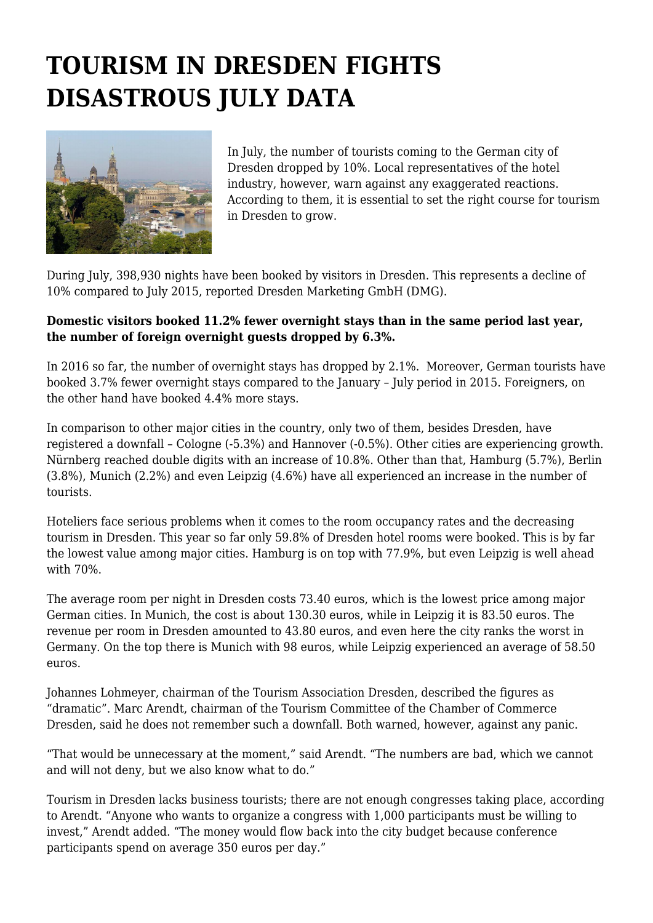## **TOURISM IN DRESDEN FIGHTS DISASTROUS JULY DATA**



In July, the number of tourists coming to the German city of Dresden dropped by 10%. Local representatives of the hotel industry, however, warn against any exaggerated reactions. According to them, it is essential to set the right course for tourism in Dresden to grow.

During July, 398,930 nights have been booked by visitors in Dresden. This represents a decline of 10% compared to July 2015, reported Dresden Marketing GmbH (DMG).

## **Domestic visitors booked 11.2% fewer overnight stays than in the same period last year, the number of foreign overnight guests dropped by 6.3%.**

In 2016 so far, the number of overnight stays has dropped by 2.1%. Moreover, German tourists have booked 3.7% fewer overnight stays compared to the January – July period in 2015. Foreigners, on the other hand have booked 4.4% more stays.

In comparison to other major cities in the country, only two of them, besides Dresden, have registered a downfall – Cologne (-5.3%) and Hannover (-0.5%). Other cities are experiencing growth. Nürnberg reached double digits with an increase of 10.8%. Other than that, Hamburg (5.7%), Berlin (3.8%), Munich (2.2%) and even Leipzig (4.6%) have all experienced an increase in the number of tourists.

Hoteliers face serious problems when it comes to the room occupancy rates and the decreasing tourism in Dresden. This year so far only 59.8% of Dresden hotel rooms were booked. This is by far the lowest value among major cities. Hamburg is on top with 77.9%, but even Leipzig is well ahead with 70%.

The average room per night in Dresden costs 73.40 euros, which is the lowest price among major German cities. In Munich, the cost is about 130.30 euros, while in Leipzig it is 83.50 euros. The revenue per room in Dresden amounted to 43.80 euros, and even here the city ranks the worst in Germany. On the top there is Munich with 98 euros, while Leipzig experienced an average of 58.50 euros.

Johannes Lohmeyer, chairman of the Tourism Association Dresden, described the figures as "dramatic". Marc Arendt, chairman of the Tourism Committee of the Chamber of Commerce Dresden, said he does not remember such a downfall. Both warned, however, against any panic.

"That would be unnecessary at the moment," said Arendt. "The numbers are bad, which we cannot and will not deny, but we also know what to do."

Tourism in Dresden lacks business tourists; there are not enough congresses taking place, according to Arendt. "Anyone who wants to organize a congress with 1,000 participants must be willing to invest," Arendt added. "The money would flow back into the city budget because conference participants spend on average 350 euros per day."